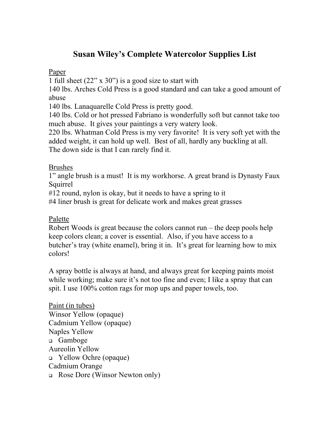# **Susan Wiley's Complete Watercolor Supplies List**

#### Paper

1 full sheet (22" x 30") is a good size to start with

140 lbs. Arches Cold Press is a good standard and can take a good amount of abuse

140 lbs. Lanaquarelle Cold Press is pretty good.

140 lbs. Cold or hot pressed Fabriano is wonderfully soft but cannot take too much abuse. It gives your paintings a very watery look.

220 lbs. Whatman Cold Press is my very favorite! It is very soft yet with the added weight, it can hold up well. Best of all, hardly any buckling at all. The down side is that I can rarely find it.

### Brushes

1" angle brush is a must! It is my workhorse. A great brand is Dynasty Faux Squirrel

#12 round, nylon is okay, but it needs to have a spring to it

#4 liner brush is great for delicate work and makes great grasses

## Palette

Robert Woods is great because the colors cannot run – the deep pools help keep colors clean; a cover is essential. Also, if you have access to a butcher's tray (white enamel), bring it in. It's great for learning how to mix colors!

A spray bottle is always at hand, and always great for keeping paints moist while working; make sure it's not too fine and even; I like a spray that can spit. I use 100% cotton rags for mop ups and paper towels, too.

Paint (in tubes) Winsor Yellow (opaque) Cadmium Yellow (opaque) Naples Yellow <sup>q</sup> Gamboge Aureolin Yellow <sup>q</sup> Yellow Ochre (opaque) Cadmium Orange <sup>q</sup> Rose Dore (Winsor Newton only)